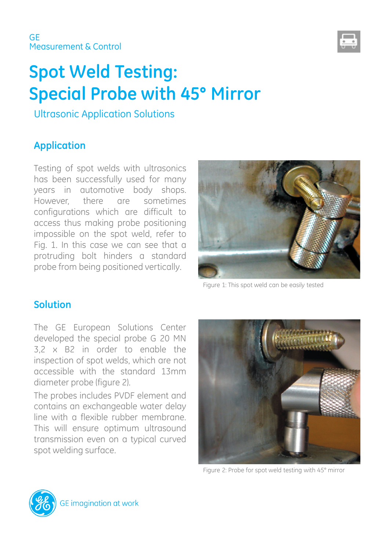

# **Spot Weld Testing: Special Probe with 45° Mirror**

Ultrasonic Application Solutions

### **Application**

Testing of spot welds with ultrasonics has been successfully used for many years in automotive body shops. However, there are sometimes configurations which are difficult to access thus making probe positioning impossible on the spot weld, refer to Fig. 1. In this case we can see that a protruding bolt hinders a standard probe from being positioned vertically.



Figure 1: This spot weld can be easily tested

#### **Solution**

The GE European Solutions Center developed the special probe G 20 MN 3,2 x B2 in order to enable the inspection of spot welds, which are not accessible with the standard 13mm diameter probe (figure 2).

The probes includes PVDF element and contains an exchangeable water delay line with a flexible rubber membrane. This will ensure optimum ultrasound transmission even on a typical curved spot welding surface.



Figure 2: Probe for spot weld testing with 45° mirror